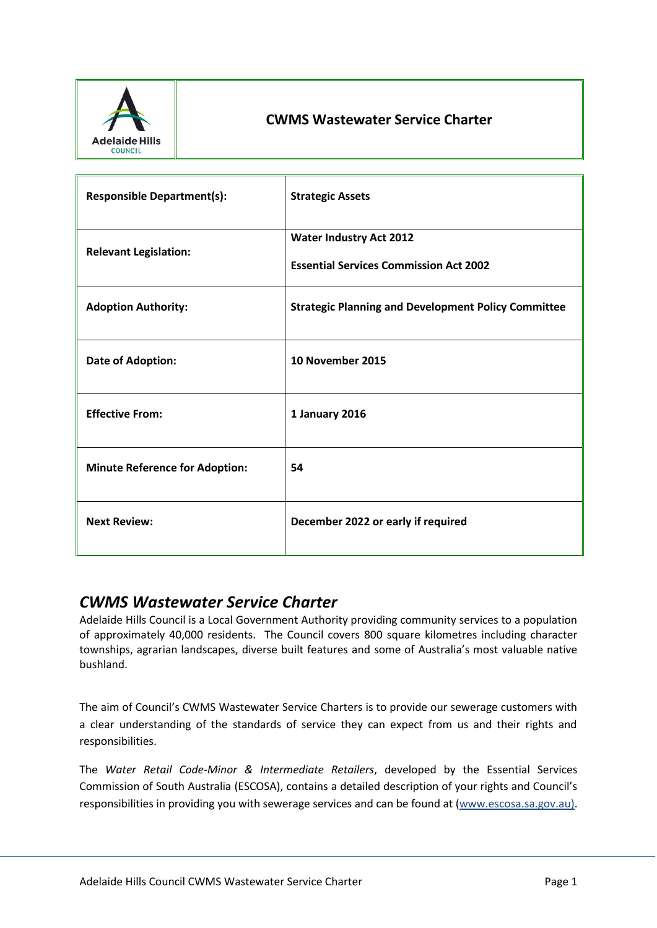

# **CWMS Wastewater Service Charter**

| <b>Responsible Department(s):</b>     | <b>Strategic Assets</b>                                                         |
|---------------------------------------|---------------------------------------------------------------------------------|
| <b>Relevant Legislation:</b>          | <b>Water Industry Act 2012</b><br><b>Essential Services Commission Act 2002</b> |
| <b>Adoption Authority:</b>            | <b>Strategic Planning and Development Policy Committee</b>                      |
| Date of Adoption:                     | 10 November 2015                                                                |
| <b>Effective From:</b>                | 1 January 2016                                                                  |
| <b>Minute Reference for Adoption:</b> | 54                                                                              |
| <b>Next Review:</b>                   | December 2022 or early if required                                              |

# *CWMS Wastewater Service Charter*

Adelaide Hills Council is a Local Government Authority providing community services to a population of approximately 40,000 residents. The Council covers 800 square kilometres including character townships, agrarian landscapes, diverse built features and some of Australia's most valuable native bushland.

The aim of Council's CWMS Wastewater Service Charters is to provide our sewerage customers with a clear understanding of the standards of service they can expect from us and their rights and responsibilities.

The *Water Retail Code-Minor & Intermediate Retailers*, developed by the Essential Services Commission of South Australia (ESCOSA), contains a detailed description of your rights and Council's responsibilities in providing you with sewerage services and can be found at [\(www.escosa.sa.gov.au\).](http://www.escosa.sa.gov.au)/)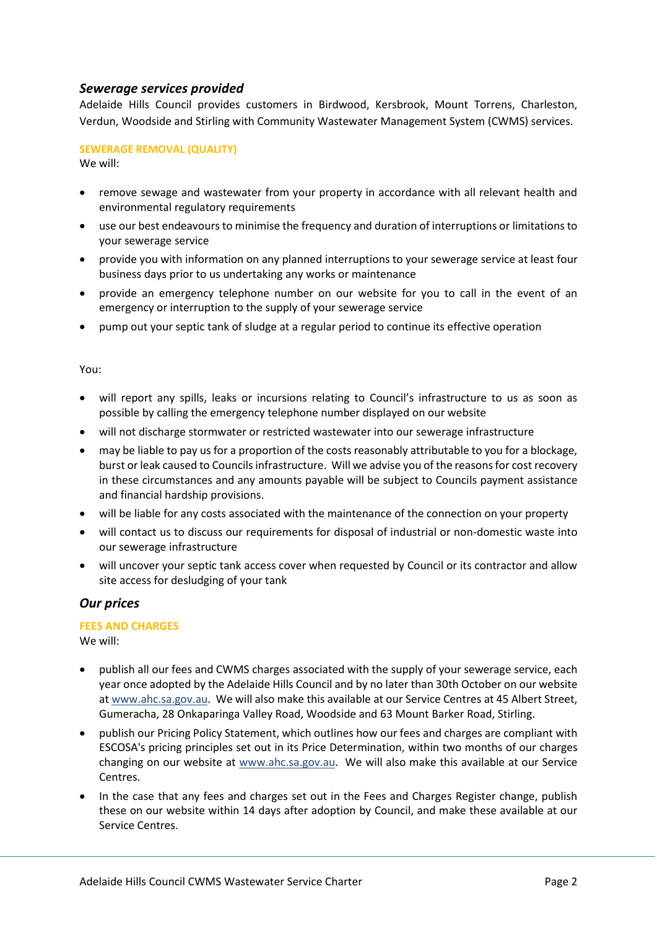## *Sewerage services provided*

Adelaide Hills Council provides customers in Birdwood, Kersbrook, Mount Torrens, Charleston, Verdun, Woodside and Stirling with Community Wastewater Management System (CWMS) services.

#### **SEWERAGE REMOVAL (QUALITY)**

We will:

- remove sewage and wastewater from your property in accordance with all relevant health and environmental regulatory requirements
- use our best endeavours to minimise the frequency and duration of interruptions or limitations to your sewerage service
- provide you with information on any planned interruptions to your sewerage service at least four business days prior to us undertaking any works or maintenance
- provide an emergency telephone number on our website for you to call in the event of an emergency or interruption to the supply of your sewerage service
- pump out your septic tank of sludge at a regular period to continue its effective operation

#### You:

- will report any spills, leaks or incursions relating to Council's infrastructure to us as soon as possible by calling the emergency telephone number displayed on our website
- will not discharge stormwater or restricted wastewater into our sewerage infrastructure
- may be liable to pay us for a proportion of the costs reasonably attributable to you for a blockage, burst or leak caused to Councils infrastructure. Will we advise you of the reasons for cost recovery in these circumstances and any amounts payable will be subject to Councils payment assistance and financial hardship provisions.
- will be liable for any costs associated with the maintenance of the connection on your property
- will contact us to discuss our requirements for disposal of industrial or non-domestic waste into our sewerage infrastructure
- will uncover your septic tank access cover when requested by Council or its contractor and allow site access for desludging of your tank

#### *Our prices*

#### **FEES AND CHARGES**

We will:

- publish all our fees and CWMS charges associated with the supply of your sewerage service, each year once adopted by the Adelaide Hills Council and by no later than 30th October on our website at [www.ahc.sa.gov.au.](http://www.ahc.sa.gov.au/) We will also make this available at our Service Centres at 45 Albert Street, Gumeracha, 28 Onkaparinga Valley Road, Woodside and 63 Mount Barker Road, Stirling.
- publish our Pricing Policy Statement, which outlines how our fees and charges are compliant with ESCOSA's pricing principles set out in its Price Determination, within two months of our charges changing on our website at [www.ahc.sa.gov.au.](http://www.ahc.sa.gov.au/) We will also make this available at our Service Centres.
- In the case that any fees and charges set out in the Fees and Charges Register change, publish these on our website within 14 days after adoption by Council, and make these available at our Service Centres.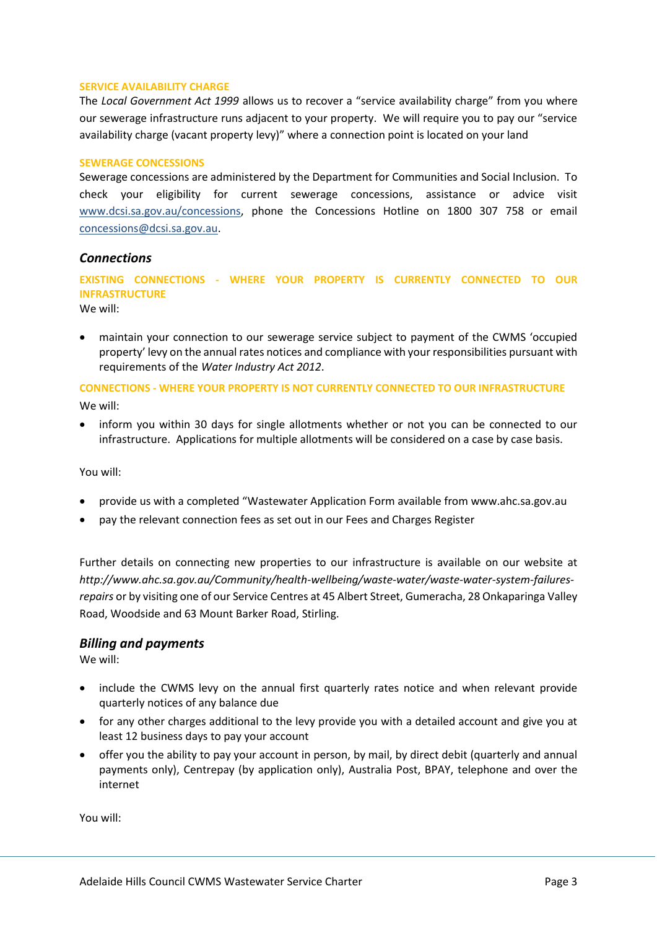#### **SERVICE AVAILABILITY CHARGE**

The *Local Government Act 1999* allows us to recover a "service availability charge" from you where our sewerage infrastructure runs adjacent to your property. We will require you to pay our "service availability charge (vacant property levy)" where a connection point is located on your land

#### **SEWERAGE CONCESSIONS**

Sewerage concessions are administered by the Department for Communities and Social Inclusion. To check your eligibility for current sewerage concessions, assistance or advice visit [www.dcsi.sa.gov.au/concessions,](http://www.dcsi.sa.gov.au/concessions) phone the Concessions Hotline on 1800 307 758 or email [concessions@dcsi.sa.gov.au.](mailto:concessions@dcsi.sa.gov.au)

## *Connections*

**EXISTING CONNECTIONS - WHERE YOUR PROPERTY IS CURRENTLY CONNECTED TO OUR INFRASTRUCTURE**

We will:

 maintain your connection to our sewerage service subject to payment of the CWMS 'occupied property' levy on the annual rates notices and compliance with your responsibilities pursuant with requirements of the *Water Industry Act 2012*.

#### **CONNECTIONS - WHERE YOUR PROPERTY IS NOT CURRENTLY CONNECTED TO OUR INFRASTRUCTURE**

We will:

 inform you within 30 days for single allotments whether or not you can be connected to our infrastructure. Applications for multiple allotments will be considered on a case by case basis.

#### You will:

- provide us with a completed "Wastewater Application Form available from www.ahc.sa.gov.au
- pay the relevant connection fees as set out in our Fees and Charges Register

Further details on connecting new properties to our infrastructure is available on our website at *http://www.ahc.sa.gov.au/Community/health-wellbeing/waste-water/waste-water-system-failuresrepairs* or by visiting one of our Service Centres at 45 Albert Street, Gumeracha, 28 Onkaparinga Valley Road, Woodside and 63 Mount Barker Road, Stirling.

#### *Billing and payments*

We will:

- include the CWMS levy on the annual first quarterly rates notice and when relevant provide quarterly notices of any balance due
- for any other charges additional to the levy provide you with a detailed account and give you at least 12 business days to pay your account
- offer you the ability to pay your account in person, by mail, by direct debit (quarterly and annual payments only), Centrepay (by application only), Australia Post, BPAY, telephone and over the internet

You will: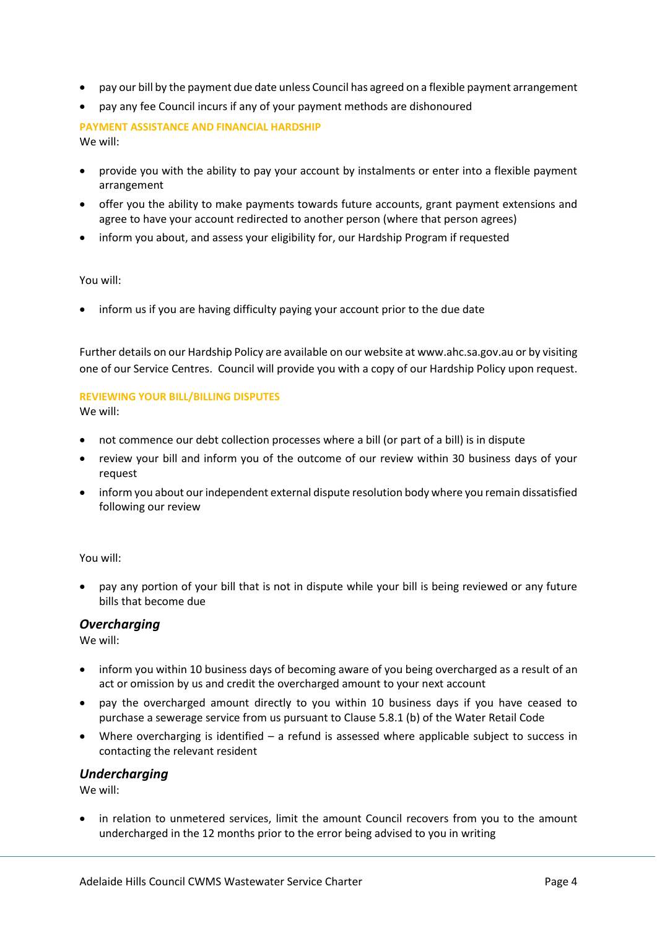- pay our bill by the payment due date unless Council has agreed on a flexible payment arrangement
- pay any fee Council incurs if any of your payment methods are dishonoured

**PAYMENT ASSISTANCE AND FINANCIAL HARDSHIP** We will:

- provide you with the ability to pay your account by instalments or enter into a flexible payment arrangement
- offer you the ability to make payments towards future accounts, grant payment extensions and agree to have your account redirected to another person (where that person agrees)
- inform you about, and assess your eligibility for, our Hardship Program if requested

#### You will:

inform us if you are having difficulty paying your account prior to the due date

Further details on our Hardship Policy are available on our website at www.ahc.sa.gov.au or by visiting one of our Service Centres. Council will provide you with a copy of our Hardship Policy upon request.

### **REVIEWING YOUR BILL/BILLING DISPUTES**

We will:

- not commence our debt collection processes where a bill (or part of a bill) is in dispute
- review your bill and inform you of the outcome of our review within 30 business days of your request
- inform you about our independent external dispute resolution body where you remain dissatisfied following our review

You will:

 pay any portion of your bill that is not in dispute while your bill is being reviewed or any future bills that become due

## *Overcharging*

We will:

- inform you within 10 business days of becoming aware of you being overcharged as a result of an act or omission by us and credit the overcharged amount to your next account
- pay the overcharged amount directly to you within 10 business days if you have ceased to purchase a sewerage service from us pursuant to Clause 5.8.1 (b) of the Water Retail Code
- Where overcharging is identified a refund is assessed where applicable subject to success in contacting the relevant resident

#### *Undercharging*

We will:

 in relation to unmetered services, limit the amount Council recovers from you to the amount undercharged in the 12 months prior to the error being advised to you in writing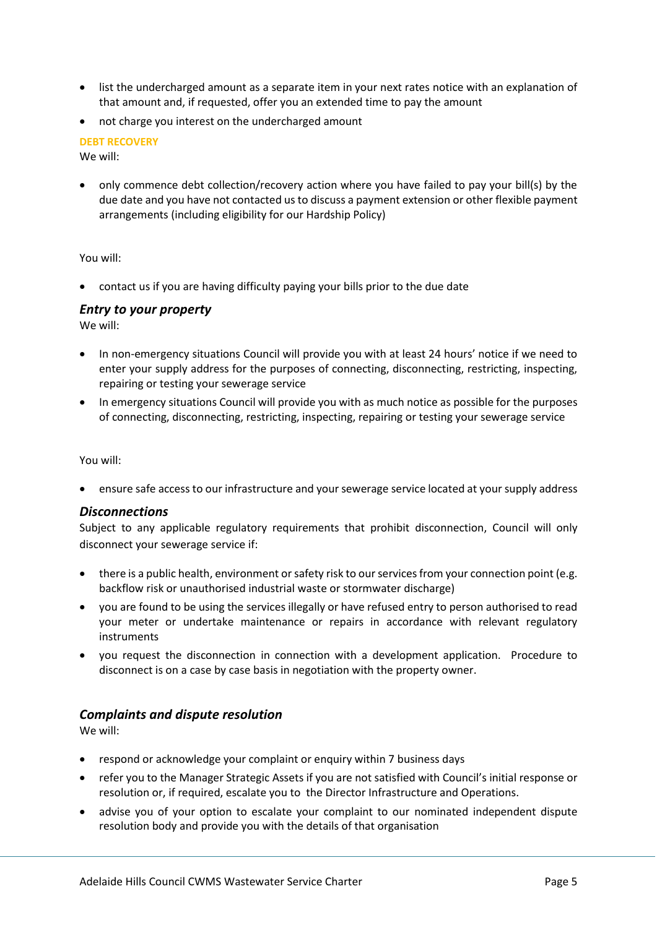- list the undercharged amount as a separate item in your next rates notice with an explanation of that amount and, if requested, offer you an extended time to pay the amount
- not charge you interest on the undercharged amount

## **DEBT RECOVERY**

We will:

 only commence debt collection/recovery action where you have failed to pay your bill(s) by the due date and you have not contacted us to discuss a payment extension or other flexible payment arrangements (including eligibility for our Hardship Policy)

You will:

contact us if you are having difficulty paying your bills prior to the due date

### *Entry to your property*

We will:

- In non-emergency situations Council will provide you with at least 24 hours' notice if we need to enter your supply address for the purposes of connecting, disconnecting, restricting, inspecting, repairing or testing your sewerage service
- In emergency situations Council will provide you with as much notice as possible for the purposes of connecting, disconnecting, restricting, inspecting, repairing or testing your sewerage service

You will:

ensure safe access to our infrastructure and your sewerage service located at your supply address

#### *Disconnections*

Subject to any applicable regulatory requirements that prohibit disconnection, Council will only disconnect your sewerage service if:

- there is a public health, environment or safety risk to our services from your connection point (e.g. backflow risk or unauthorised industrial waste or stormwater discharge)
- you are found to be using the services illegally or have refused entry to person authorised to read your meter or undertake maintenance or repairs in accordance with relevant regulatory instruments
- you request the disconnection in connection with a development application. Procedure to disconnect is on a case by case basis in negotiation with the property owner.

## *Complaints and dispute resolution*

We will:

- respond or acknowledge your complaint or enquiry within 7 business days
- refer you to the Manager Strategic Assets if you are not satisfied with Council's initial response or resolution or, if required, escalate you to the Director Infrastructure and Operations.
- advise you of your option to escalate your complaint to our nominated independent dispute resolution body and provide you with the details of that organisation